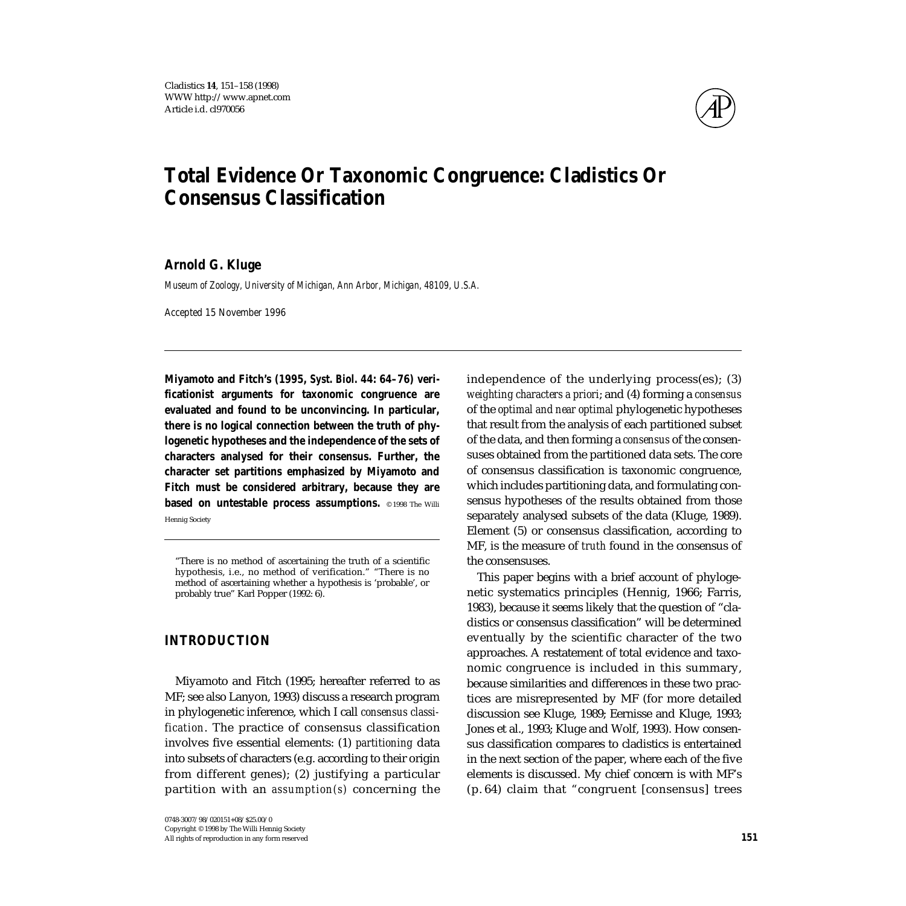

# **Total Evidence Or Taxonomic Congruence: Cladistics Or Consensus Classification**

## **Arnold G. Kluge**

*Museum of Zoology, University of Michigan, Ann Arbor, Michigan, 48109, U.S.A.*

Accepted 15 November 1996

**Miyamoto and Fitch's (1995,** *Syst. Biol.* **44: 64–76) verificationist arguments for taxonomic congruence are evaluated and found to be unconvincing. In particular, there is no logical connection between the truth of phylogenetic hypotheses and the independence of the sets of characters analysed for their consensus. Further, the character set partitions emphasized by Miyamoto and Fitch must be considered arbitrary, because they are based on untestable process assumptions.** © 1998 The Willi Hennig Society

## **INTRODUCTION**

Miyamoto and Fitch (1995; hereafter referred to as MF; see also Lanyon, 1993) discuss a research program in phylogenetic inference, which I call *consensus classification*. The practice of consensus classification involves five essential elements: (1) *partitioning* data into subsets of characters (e.g. according to their origin from different genes); (2) justifying a particular partition with an *assumption(s)* concerning the

independence of the underlying process(es); (3) *weighting characters a priori*; and (4) forming a *consensus* of the *optimal and near optimal* phylogenetic hypotheses that result from the analysis of each partitioned subset of the data, and then forming a *consensus* of the consensuses obtained from the partitioned data sets. The core of consensus classification is taxonomic congruence, which includes partitioning data, and formulating consensus hypotheses of the results obtained from those separately analysed subsets of the data (Kluge, 1989). Element (5) or consensus classification, according to MF, is the measure of *truth* found in the consensus of the consensuses.

This paper begins with a brief account of phylogenetic systematics principles (Hennig, 1966; Farris, 1983), because it seems likely that the question of "cladistics or consensus classification" will be determined eventually by the scientific character of the two approaches. A restatement of total evidence and taxonomic congruence is included in this summary, because similarities and differences in these two practices are misrepresented by MF (for more detailed discussion see Kluge, 1989; Eernisse and Kluge, 1993; Jones et al., 1993; Kluge and Wolf, 1993). How consensus classification compares to cladistics is entertained in the next section of the paper, where each of the five elements is discussed. My chief concern is with MF's (p. 64) claim that "congruent [consensus] trees

<sup>&</sup>quot;There is no method of ascertaining the truth of a scientific hypothesis, i.e., no method of verification." "There is no method of ascertaining whether a hypothesis is 'probable', or probably true" Karl Popper (1992: 6).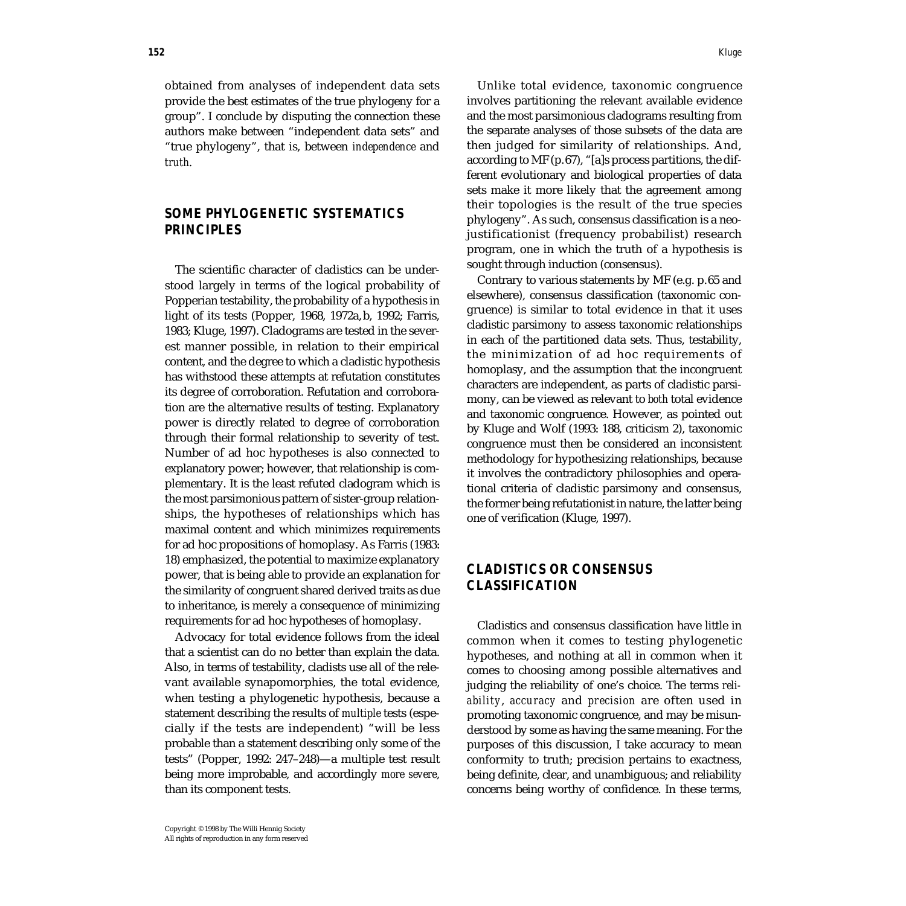obtained from analyses of independent data sets provide the best estimates of the true phylogeny for a group". I conclude by disputing the connection these authors make between "independent data sets" and "true phylogeny", that is, between *independence* and *truth*.

# **SOME PHYLOGENETIC SYSTEMATICS PRINCIPLES**

The scientific character of cladistics can be understood largely in terms of the logical probability of Popperian testability, the probability of a hypothesis in light of its tests (Popper, 1968, 1972a,b, 1992; Farris, 1983; Kluge, 1997). Cladograms are tested in the severest manner possible, in relation to their empirical content, and the degree to which a cladistic hypothesis has withstood these attempts at refutation constitutes its degree of corroboration. Refutation and corroboration are the alternative results of testing. Explanatory power is directly related to degree of corroboration through their formal relationship to severity of test. Number of ad hoc hypotheses is also connected to explanatory power; however, that relationship is complementary. It is the least refuted cladogram which is the most parsimonious pattern of sister-group relationships, the hypotheses of relationships which has maximal content and which minimizes requirements for ad hoc propositions of homoplasy. As Farris (1983: 18) emphasized, the potential to maximize explanatory power, that is being able to provide an explanation for the similarity of congruent shared derived traits as due to inheritance, is merely a consequence of minimizing requirements for ad hoc hypotheses of homoplasy.

Advocacy for total evidence follows from the ideal that a scientist can do no better than explain the data. Also, in terms of testability, cladists use all of the relevant available synapomorphies, the total evidence, when testing a phylogenetic hypothesis, because a statement describing the results of *multiple* tests (especially if the tests are independent) "will be less probable than a statement describing only some of the tests" (Popper, 1992: 247–248)—a multiple test result being more improbable, and accordingly *more severe*, than its component tests.

Unlike total evidence, taxonomic congruence involves partitioning the relevant available evidence and the most parsimonious cladograms resulting from the separate analyses of those subsets of the data are then judged for similarity of relationships. And, according to MF (p.67), "[a]s process partitions, the different evolutionary and biological properties of data sets make it more likely that the agreement among their topologies is the result of the true species phylogeny". As such, consensus classification is a neojustificationist (frequency probabilist) research program, one in which the truth of a hypothesis is sought through induction (consensus).

Contrary to various statements by MF (e.g. p.65 and elsewhere), consensus classification (taxonomic congruence) is similar to total evidence in that it uses cladistic parsimony to assess taxonomic relationships in each of the partitioned data sets. Thus, testability, the minimization of ad hoc requirements of homoplasy, and the assumption that the incongruent characters are independent, as parts of cladistic parsimony, can be viewed as relevant to *both* total evidence and taxonomic congruence. However, as pointed out by Kluge and Wolf (1993: 188, criticism 2), taxonomic congruence must then be considered an inconsistent methodology for hypothesizing relationships, because it involves the contradictory philosophies and operational criteria of cladistic parsimony and consensus, the former being refutationist in nature, the latter being one of verification (Kluge, 1997).

## **CLADISTICS OR CONSENSUS CLASSIFICATION**

Cladistics and consensus classification have little in common when it comes to testing phylogenetic hypotheses, and nothing at all in common when it comes to choosing among possible alternatives and judging the reliability of one's choice. The terms *reliability*, *accuracy* and *precision* are often used in promoting taxonomic congruence, and may be misunderstood by some as having the same meaning. For the purposes of this discussion, I take accuracy to mean conformity to truth; precision pertains to exactness, being definite, clear, and unambiguous; and reliability concerns being worthy of confidence. In these terms,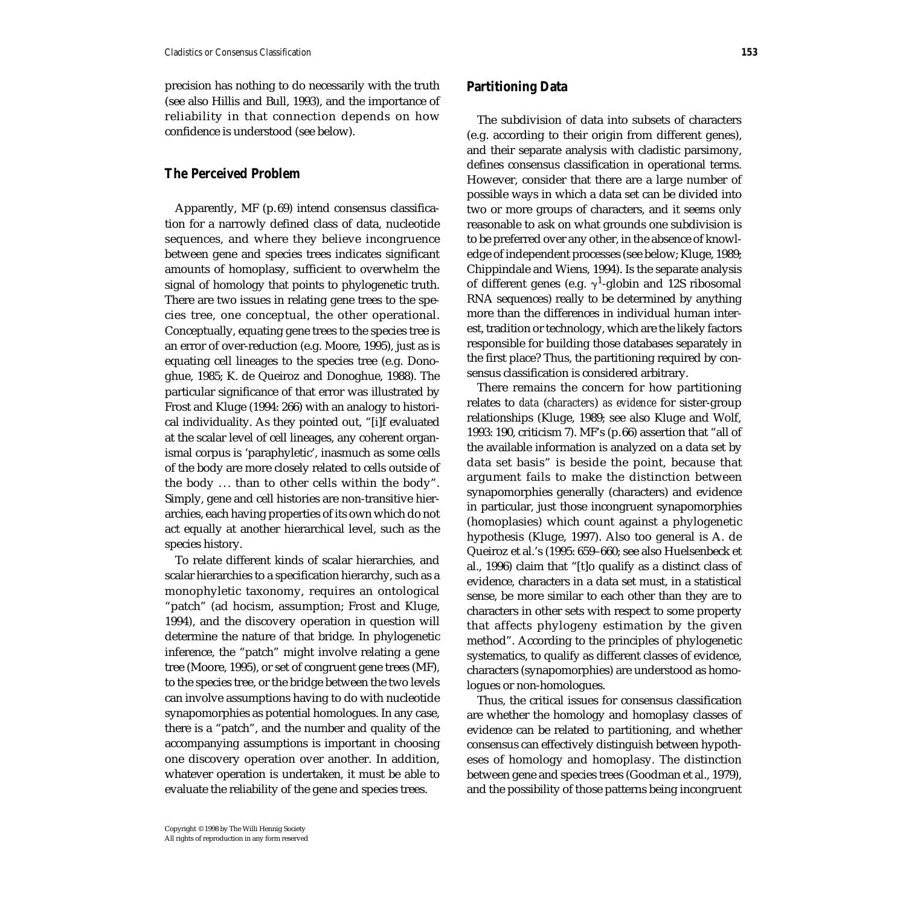precision has nothing to do necessarily with the truth (see also Hillis and Bull, 1993), and the importance of reliability in that connection depends on how confidence is understood (see below).

#### **The Perceived Problem**

Apparently, MF (p.69) intend consensus classification for a narrowly defined class of data, nucleotide sequences, and where they believe incongruence between gene and species trees indicates significant amounts of homoplasy, sufficient to overwhelm the signal of homology that points to phylogenetic truth. There are two issues in relating gene trees to the species tree, one conceptual, the other operational. Conceptually, equating gene trees to the species tree is an error of over-reduction (e.g. Moore, 1995), just as is equating cell lineages to the species tree (e.g. Donoghue, 1985; K. de Queiroz and Donoghue, 1988). The particular significance of that error was illustrated by Frost and Kluge (1994: 266) with an analogy to historical individuality. As they pointed out, "[i]f evaluated at the scalar level of cell lineages, any coherent organismal corpus is 'paraphyletic', inasmuch as some cells of the body are more closely related to cells outside of the body ... than to other cells within the body". Simply, gene and cell histories are non-transitive hierarchies, each having properties of its own which do not act equally at another hierarchical level, such as the species history.

To relate different kinds of scalar hierarchies, and scalar hierarchies to a specification hierarchy, such as a monophyletic taxonomy, requires an ontological "patch" (ad hocism, assumption; Frost and Kluge, 1994), and the discovery operation in question will determine the nature of that bridge. In phylogenetic inference, the "patch" might involve relating a gene tree (Moore, 1995), or set of congruent gene trees (MF), to the species tree, or the bridge between the two levels can involve assumptions having to do with nucleotide synapomorphies as potential homologues. In any case, there is a "patch", and the number and quality of the accompanying assumptions is important in choosing one discovery operation over another. In addition, whatever operation is undertaken, it must be able to evaluate the reliability of the gene and species trees.

#### **Partitioning Data**

The subdivision of data into subsets of characters (e.g. according to their origin from different genes), and their separate analysis with cladistic parsimony, defines consensus classification in operational terms. However, consider that there are a large number of possible ways in which a data set can be divided into two or more groups of characters, and it seems only reasonable to ask on what grounds one subdivision is to be preferred over any other, in the absence of knowledge of independent processes (see below; Kluge, 1989; Chippindale and Wiens, 1994). Is the separate analysis of different genes (e.g.  $\gamma^1$ -globin and 12S ribosomal RNA sequences) really to be determined by anything more than the differences in individual human interest, tradition or technology, which are the likely factors responsible for building those databases separately in the first place? Thus, the partitioning required by consensus classification is considered arbitrary.

There remains the concern for how partitioning relates to *data* (*characters*) *as evidence* for sister-group relationships (Kluge, 1989; see also Kluge and Wolf, 1993: 190, criticism 7). MF's (p.66) assertion that "all of the available information is analyzed on a data set by data set basis" is beside the point, because that argument fails to make the distinction between synapomorphies generally (characters) and evidence in particular, just those incongruent synapomorphies (homoplasies) which count against a phylogenetic hypothesis (Kluge, 1997). Also too general is A. de Queiroz et al.'s (1995: 659–660; see also Huelsenbeck et al., 1996) claim that "[t]o qualify as a distinct class of evidence, characters in a data set must, in a statistical sense, be more similar to each other than they are to characters in other sets with respect to some property that affects phylogeny estimation by the given method". According to the principles of phylogenetic systematics, to qualify as different classes of evidence, characters (synapomorphies) are understood as homologues or non-homologues.

Thus, the critical issues for consensus classification are whether the homology and homoplasy classes of evidence can be related to partitioning, and whether consensus can effectively distinguish between hypotheses of homology and homoplasy. The distinction between gene and species trees (Goodman et al., 1979), and the possibility of those patterns being incongruent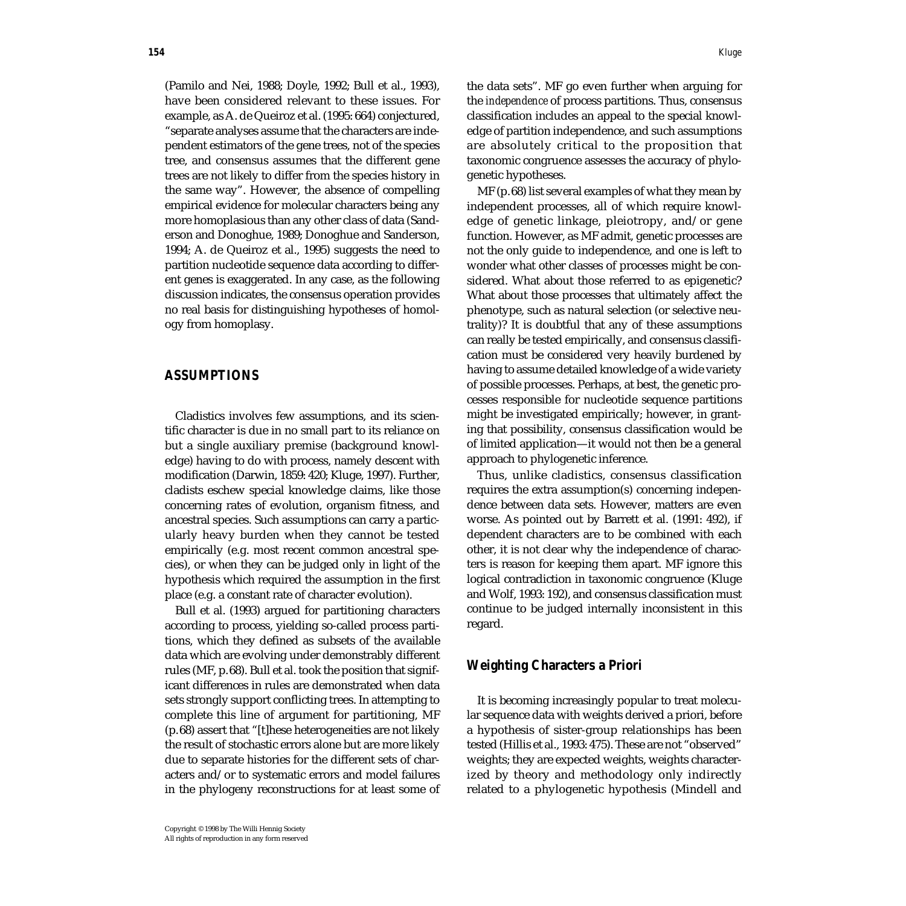(Pamilo and Nei, 1988; Doyle, 1992; Bull et al., 1993), have been considered relevant to these issues. For example, as A. de Queiroz et al. (1995: 664) conjectured, "separate analyses assume that the characters are independent estimators of the gene trees, not of the species tree, and consensus assumes that the different gene trees are not likely to differ from the species history in the same way". However, the absence of compelling empirical evidence for molecular characters being any more homoplasious than any other class of data (Sanderson and Donoghue, 1989; Donoghue and Sanderson, 1994; A. de Queiroz et al., 1995) suggests the need to partition nucleotide sequence data according to different genes is exaggerated. In any case, as the following discussion indicates, the consensus operation provides no real basis for distinguishing hypotheses of homology from homoplasy.

## **ASSUMPTIONS**

Cladistics involves few assumptions, and its scientific character is due in no small part to its reliance on but a single auxiliary premise (background knowledge) having to do with process, namely descent with modification (Darwin, 1859: 420; Kluge, 1997). Further, cladists eschew special knowledge claims, like those concerning rates of evolution, organism fitness, and ancestral species. Such assumptions can carry a particularly heavy burden when they cannot be tested empirically (e.g. most recent common ancestral species), or when they can be judged only in light of the hypothesis which required the assumption in the first place (e.g. a constant rate of character evolution).

Bull et al. (1993) argued for partitioning characters according to process, yielding so-called process partitions, which they defined as subsets of the available data which are evolving under demonstrably different rules (MF, p.68). Bull et al. took the position that significant differences in rules are demonstrated when data sets strongly support conflicting trees. In attempting to complete this line of argument for partitioning, MF (p.68) assert that "[t]hese heterogeneities are not likely the result of stochastic errors alone but are more likely due to separate histories for the different sets of characters and/or to systematic errors and model failures in the phylogeny reconstructions for at least some of

the data sets". MF go even further when arguing for the *independence* of process partitions. Thus, consensus classification includes an appeal to the special knowledge of partition independence, and such assumptions are absolutely critical to the proposition that taxonomic congruence assesses the accuracy of phylogenetic hypotheses.

MF (p.68) list several examples of what they mean by independent processes, all of which require knowledge of genetic linkage, pleiotropy, and/or gene function. However, as MF admit, genetic processes are not the only guide to independence, and one is left to wonder what other classes of processes might be considered. What about those referred to as epigenetic? What about those processes that ultimately affect the phenotype, such as natural selection (or selective neutrality)? It is doubtful that any of these assumptions can really be tested empirically, and consensus classification must be considered very heavily burdened by having to assume detailed knowledge of a wide variety of possible processes. Perhaps, at best, the genetic processes responsible for nucleotide sequence partitions might be investigated empirically; however, in granting that possibility, consensus classification would be of limited application—it would not then be a general approach to phylogenetic inference.

Thus, unlike cladistics, consensus classification requires the extra assumption(s) concerning independence between data sets. However, matters are even worse. As pointed out by Barrett et al. (1991: 492), if dependent characters are to be combined with each other, it is not clear why the independence of characters is reason for keeping them apart. MF ignore this logical contradiction in taxonomic congruence (Kluge and Wolf, 1993: 192), and consensus classification must continue to be judged internally inconsistent in this regard.

#### **Weighting Characters a Priori**

It is becoming increasingly popular to treat molecular sequence data with weights derived a priori, before a hypothesis of sister-group relationships has been tested (Hillis et al., 1993: 475). These are not "observed" weights; they are expected weights, weights characterized by theory and methodology only indirectly related to a phylogenetic hypothesis (Mindell and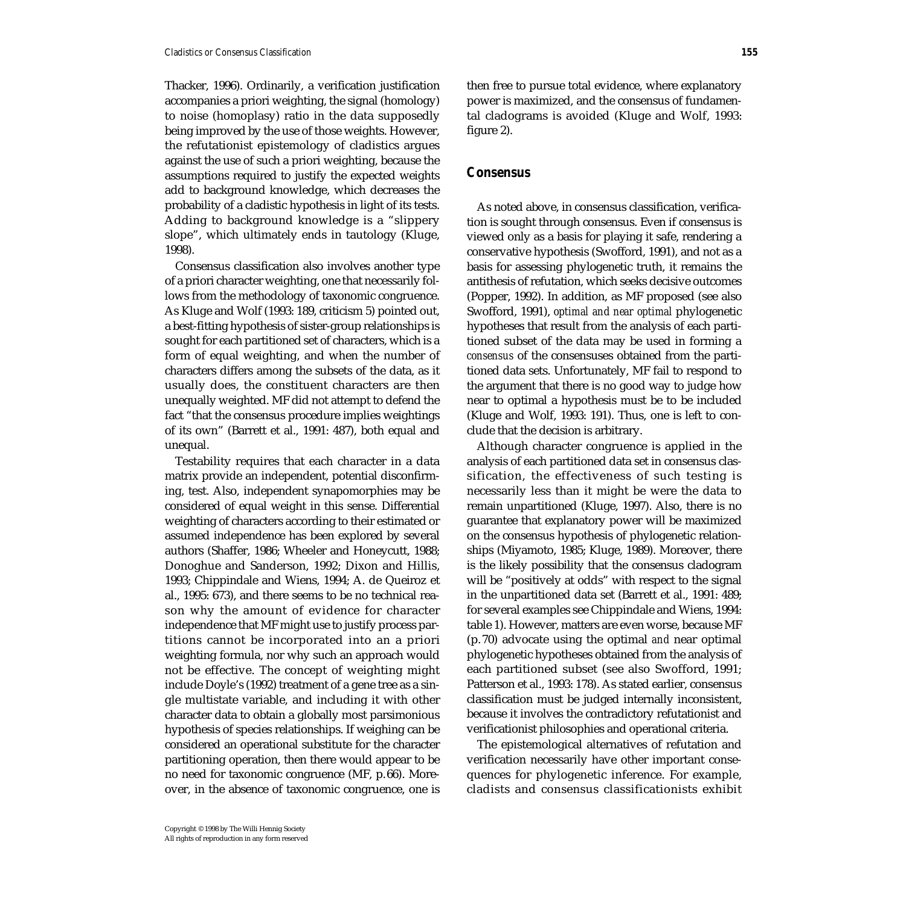Thacker, 1996). Ordinarily, a verification justification accompanies a priori weighting, the signal (homology) to noise (homoplasy) ratio in the data supposedly being improved by the use of those weights. However, the refutationist epistemology of cladistics argues against the use of such a priori weighting, because the assumptions required to justify the expected weights add to background knowledge, which decreases the probability of a cladistic hypothesis in light of its tests. Adding to background knowledge is a "slippery slope", which ultimately ends in tautology (Kluge, 1998).

Consensus classification also involves another type of a priori character weighting, one that necessarily follows from the methodology of taxonomic congruence. As Kluge and Wolf (1993: 189, criticism 5) pointed out, a best-fitting hypothesis of sister-group relationships is sought for each partitioned set of characters, which is a form of equal weighting, and when the number of characters differs among the subsets of the data, as it usually does, the constituent characters are then unequally weighted. MF did not attempt to defend the fact "that the consensus procedure implies weightings of its own" (Barrett et al., 1991: 487), both equal and unequal.

Testability requires that each character in a data matrix provide an independent, potential disconfirming, test. Also, independent synapomorphies may be considered of equal weight in this sense. Differential weighting of characters according to their estimated or assumed independence has been explored by several authors (Shaffer, 1986; Wheeler and Honeycutt, 1988; Donoghue and Sanderson, 1992; Dixon and Hillis, 1993; Chippindale and Wiens, 1994; A. de Queiroz et al., 1995: 673), and there seems to be no technical reason why the amount of evidence for character independence that MF might use to justify process partitions cannot be incorporated into an a priori weighting formula, nor why such an approach would not be effective. The concept of weighting might include Doyle's (1992) treatment of a gene tree as a single multistate variable, and including it with other character data to obtain a globally most parsimonious hypothesis of species relationships. If weighing can be considered an operational substitute for the character partitioning operation, then there would appear to be no need for taxonomic congruence (MF, p.66). Moreover, in the absence of taxonomic congruence, one is

then free to pursue total evidence, where explanatory power is maximized, and the consensus of fundamental cladograms is avoided (Kluge and Wolf, 1993: figure 2).

#### **Consensus**

As noted above, in consensus classification, verification is sought through consensus. Even if consensus is viewed only as a basis for playing it safe, rendering a conservative hypothesis (Swofford, 1991), and not as a basis for assessing phylogenetic truth, it remains the antithesis of refutation, which seeks decisive outcomes (Popper, 1992). In addition, as MF proposed (see also Swofford, 1991), *optimal and near optimal* phylogenetic hypotheses that result from the analysis of each partitioned subset of the data may be used in forming a *consensus* of the consensuses obtained from the partitioned data sets. Unfortunately, MF fail to respond to the argument that there is no good way to judge how near to optimal a hypothesis must be to be included (Kluge and Wolf, 1993: 191). Thus, one is left to conclude that the decision is arbitrary.

Although character congruence is applied in the analysis of each partitioned data set in consensus classification, the effectiveness of such testing is necessarily less than it might be were the data to remain unpartitioned (Kluge, 1997). Also, there is no guarantee that explanatory power will be maximized on the consensus hypothesis of phylogenetic relationships (Miyamoto, 1985; Kluge, 1989). Moreover, there is the likely possibility that the consensus cladogram will be "positively at odds" with respect to the signal in the unpartitioned data set (Barrett et al., 1991: 489; for several examples see Chippindale and Wiens, 1994: table 1). However, matters are even worse, because MF (p.70) advocate using the optimal *and* near optimal phylogenetic hypotheses obtained from the analysis of each partitioned subset (see also Swofford, 1991; Patterson et al., 1993: 178). As stated earlier, consensus classification must be judged internally inconsistent, because it involves the contradictory refutationist and verificationist philosophies and operational criteria.

The epistemological alternatives of refutation and verification necessarily have other important consequences for phylogenetic inference. For example, cladists and consensus classificationists exhibit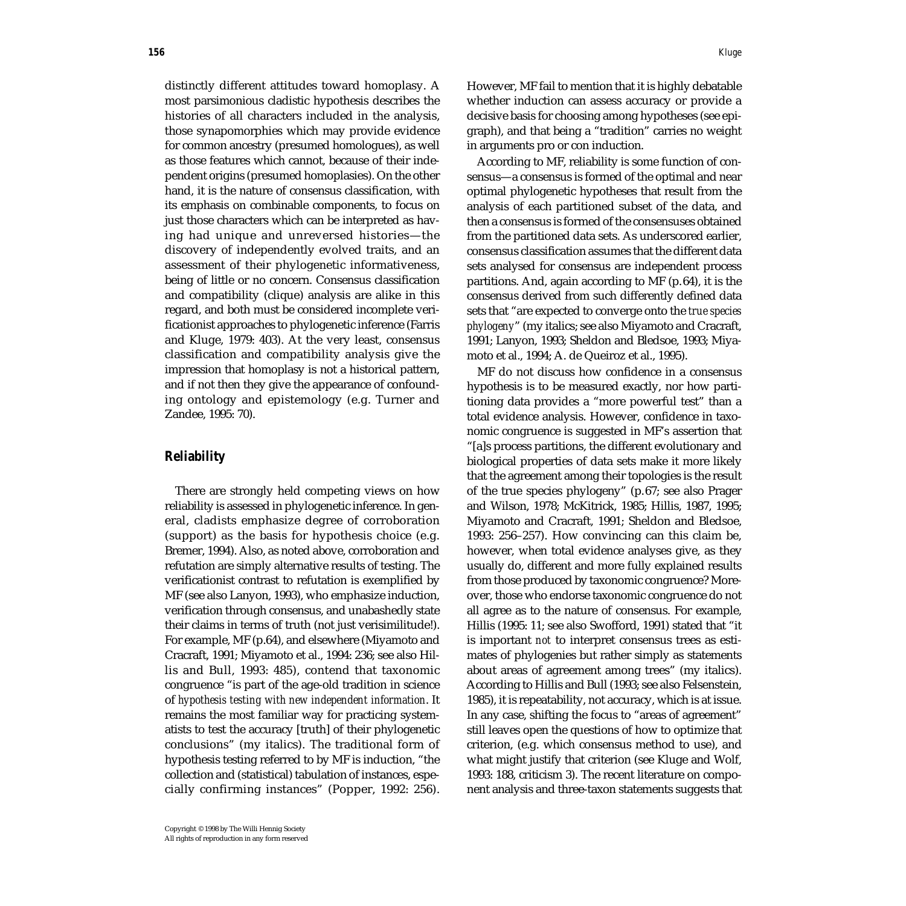distinctly different attitudes toward homoplasy. A most parsimonious cladistic hypothesis describes the histories of all characters included in the analysis, those synapomorphies which may provide evidence for common ancestry (presumed homologues), as well as those features which cannot, because of their independent origins (presumed homoplasies). On the other hand, it is the nature of consensus classification, with its emphasis on combinable components, to focus on just those characters which can be interpreted as having had unique and unreversed histories—the discovery of independently evolved traits, and an assessment of their phylogenetic informativeness, being of little or no concern. Consensus classification and compatibility (clique) analysis are alike in this regard, and both must be considered incomplete verificationist approaches to phylogenetic inference (Farris and Kluge, 1979: 403). At the very least, consensus classification and compatibility analysis give the impression that homoplasy is not a historical pattern, and if not then they give the appearance of confounding ontology and epistemology (e.g. Turner and Zandee, 1995: 70).

#### **Reliability**

There are strongly held competing views on how reliability is assessed in phylogenetic inference. In general, cladists emphasize degree of corroboration (support) as the basis for hypothesis choice (e.g. Bremer, 1994). Also, as noted above, corroboration and refutation are simply alternative results of testing. The verificationist contrast to refutation is exemplified by MF (see also Lanyon, 1993), who emphasize induction, verification through consensus, and unabashedly state their claims in terms of truth (not just verisimilitude!). For example, MF (p.64), and elsewhere (Miyamoto and Cracraft, 1991; Miyamoto et al., 1994: 236; see also Hillis and Bull, 1993: 485), contend that taxonomic congruence "is part of the age-old tradition in science of *hypothesis testing with new independent information*. It remains the most familiar way for practicing systematists to test the accuracy [truth] of their phylogenetic conclusions" (my italics). The traditional form of hypothesis testing referred to by MF is induction, "the collection and (statistical) tabulation of instances, especially confirming instances" (Popper, 1992: 256).

However, MF fail to mention that it is highly debatable whether induction can assess accuracy or provide a decisive basis for choosing among hypotheses (see epigraph), and that being a "tradition" carries no weight in arguments pro or con induction.

According to MF, reliability is some function of consensus—a consensus is formed of the optimal and near optimal phylogenetic hypotheses that result from the analysis of each partitioned subset of the data, and then a consensus is formed of the consensuses obtained from the partitioned data sets. As underscored earlier, consensus classification assumes that the different data sets analysed for consensus are independent process partitions. And, again according to MF (p.64), it is the consensus derived from such differently defined data sets that "are expected to converge onto the *true species phylogeny*" (my italics; see also Miyamoto and Cracraft, 1991; Lanyon, 1993; Sheldon and Bledsoe, 1993; Miyamoto et al., 1994; A. de Queiroz et al., 1995).

MF do not discuss how confidence in a consensus hypothesis is to be measured exactly, nor how partitioning data provides a "more powerful test" than a total evidence analysis. However, confidence in taxonomic congruence is suggested in MF's assertion that "[a]s process partitions, the different evolutionary and biological properties of data sets make it more likely that the agreement among their topologies is the result of the true species phylogeny" (p.67; see also Prager and Wilson, 1978; McKitrick, 1985; Hillis, 1987, 1995; Miyamoto and Cracraft, 1991; Sheldon and Bledsoe, 1993: 256–257). How convincing can this claim be, however, when total evidence analyses give, as they usually do, different and more fully explained results from those produced by taxonomic congruence? Moreover, those who endorse taxonomic congruence do not all agree as to the nature of consensus. For example, Hillis (1995: 11; see also Swofford, 1991) stated that "it is important *not* to interpret consensus trees as estimates of phylogenies but rather simply as statements about areas of agreement among trees" (my italics). According to Hillis and Bull (1993; see also Felsenstein, 1985), it is repeatability, not accuracy, which is at issue. In any case, shifting the focus to "areas of agreement" still leaves open the questions of how to optimize that criterion, (e.g. which consensus method to use), and what might justify that criterion (see Kluge and Wolf, 1993: 188, criticism 3). The recent literature on component analysis and three-taxon statements suggests that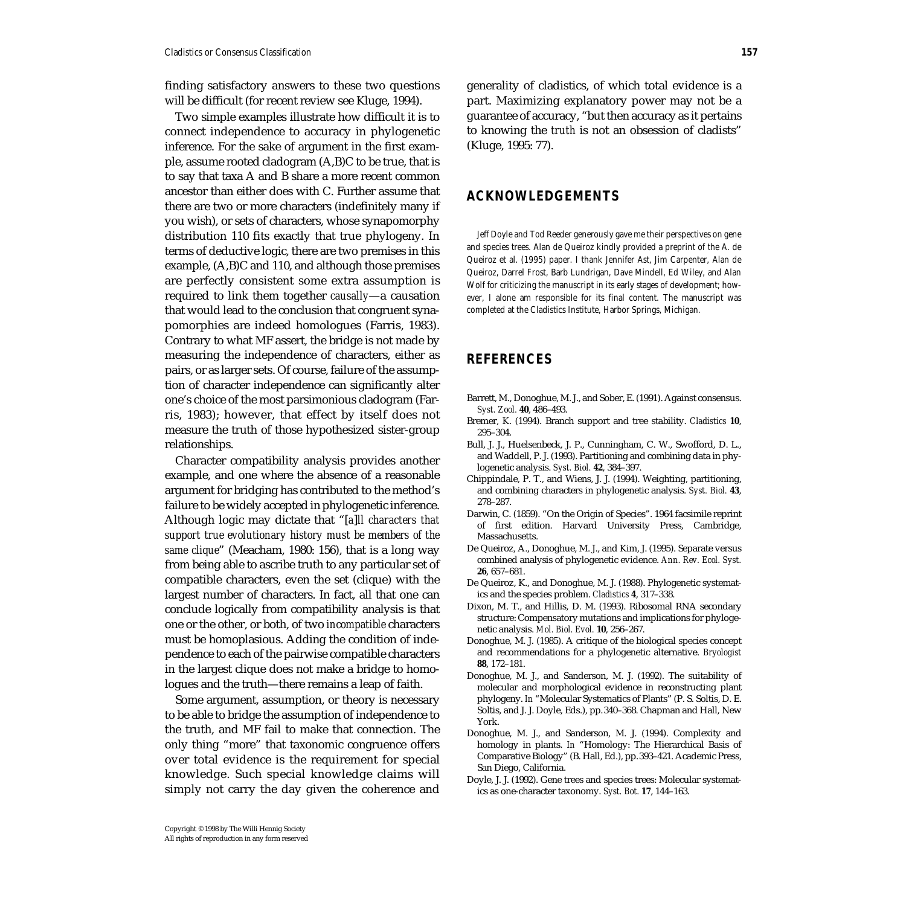finding satisfactory answers to these two questions will be difficult (for recent review see Kluge, 1994).

Two simple examples illustrate how difficult it is to connect independence to accuracy in phylogenetic inference. For the sake of argument in the first example, assume rooted cladogram (A,B)C to be true, that is to say that taxa A and B share a more recent common ancestor than either does with C. Further assume that there are two or more characters (indefinitely many if you wish), or sets of characters, whose synapomorphy distribution 110 fits exactly that true phylogeny. In terms of deductive logic, there are two premises in this example, (A,B)C and 110, and although those premises are perfectly consistent some extra assumption is required to link them together *causally*—a causation that would lead to the conclusion that congruent synapomorphies are indeed homologues (Farris, 1983). Contrary to what MF assert, the bridge is not made by measuring the independence of characters, either as pairs, or as larger sets. Of course, failure of the assumption of character independence can significantly alter one's choice of the most parsimonious cladogram (Farris, 1983); however, that effect by itself does not measure the truth of those hypothesized sister-group relationships.

Character compatibility analysis provides another example, and one where the absence of a reasonable argument for bridging has contributed to the method's failure to be widely accepted in phylogenetic inference. Although logic may dictate that "[*a*]*ll characters that support true evolutionary history must be members of the same clique*" (Meacham, 1980: 156), that is a long way from being able to ascribe truth to any particular set of compatible characters, even the set (clique) with the largest number of characters. In fact, all that one can conclude logically from compatibility analysis is that one or the other, or both, of two *incompatible* characters must be homoplasious. Adding the condition of independence to each of the pairwise compatible characters in the largest clique does not make a bridge to homologues and the truth—there remains a leap of faith.

Some argument, assumption, or theory is necessary to be able to bridge the assumption of independence to the truth, and MF fail to make that connection. The only thing "more" that taxonomic congruence offers over total evidence is the requirement for special knowledge. Such special knowledge claims will simply not carry the day given the coherence and generality of cladistics, of which total evidence is a part. Maximizing explanatory power may not be a guarantee of accuracy, "but then accuracy as it pertains to knowing the *truth* is not an obsession of cladists" (Kluge, 1995: 77).

## **ACKNOWLEDGEMENTS**

Jeff Doyle and Tod Reeder generously gave me their perspectives on gene and species trees. Alan de Queiroz kindly provided a preprint of the A. de Queiroz et al. (1995) paper. I thank Jennifer Ast, Jim Carpenter, Alan de Queiroz, Darrel Frost, Barb Lundrigan, Dave Mindell, Ed Wiley, and Alan Wolf for criticizing the manuscript in its early stages of development; however, I alone am responsible for its final content. The manuscript was completed at the Cladistics Institute, Harbor Springs, Michigan.

## **REFERENCES**

- Barrett, M., Donoghue, M. J., and Sober, E. (1991). Against consensus. *Syst. Zool.* **40**, 486–493.
- Bremer, K. (1994). Branch support and tree stability. *Cladistics* **10**, 295–304.
- Bull, J. J., Huelsenbeck, J. P., Cunningham, C. W., Swofford, D. L., and Waddell, P. J. (1993). Partitioning and combining data in phylogenetic analysis. *Syst. Biol.* **42**, 384–397.
- Chippindale, P. T., and Wiens, J. J. (1994). Weighting, partitioning, and combining characters in phylogenetic analysis. *Syst. Biol.* **43**, 278–287.
- Darwin, C. (1859). "On the Origin of Species". 1964 facsimile reprint of first edition. Harvard University Press, Cambridge, Massachusetts.
- De Queiroz, A., Donoghue, M. J., and Kim, J. (1995). Separate versus combined analysis of phylogenetic evidence. *Ann. Rev. Ecol. Syst.* **26**, 657–681.
- De Queiroz, K., and Donoghue, M. J. (1988). Phylogenetic systematics and the species problem. *Cladistics* **4**, 317–338.
- Dixon, M. T., and Hillis, D. M. (1993). Ribosomal RNA secondary structure: Compensatory mutations and implications for phylogenetic analysis. *Mol. Biol. Evol.* **10**, 256–267.
- Donoghue, M. J. (1985). A critique of the biological species concept and recommendations for a phylogenetic alternative. *Bryologist* **88**, 172–181.
- Donoghue, M. J., and Sanderson, M. J. (1992). The suitability of molecular and morphological evidence in reconstructing plant phylogeny. *In* "Molecular Systematics of Plants" (P. S. Soltis, D. E. Soltis, and J. J. Doyle, Eds.), pp.340–368. Chapman and Hall, New York.
- Donoghue, M. J., and Sanderson, M. J. (1994). Complexity and homology in plants. *In* "Homology: The Hierarchical Basis of Comparative Biology" (B. Hall, Ed.), pp.393–421. Academic Press, San Diego, California.
- Doyle, J. J. (1992). Gene trees and species trees: Molecular systematics as one-character taxonomy. *Syst. Bot.* **17**, 144–163.